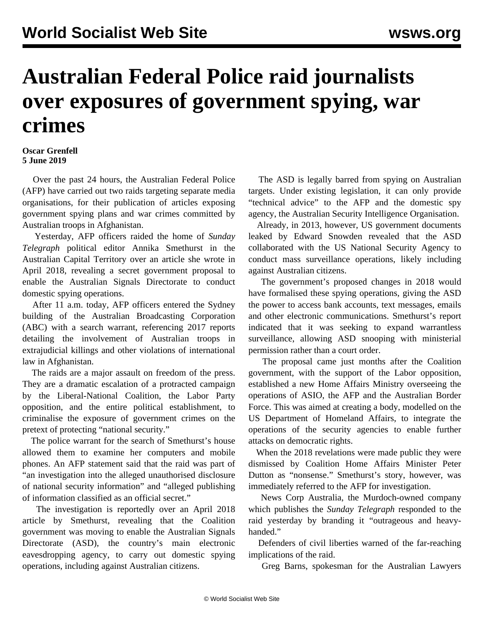## **Australian Federal Police raid journalists over exposures of government spying, war crimes**

## **Oscar Grenfell 5 June 2019**

 Over the past 24 hours, the Australian Federal Police (AFP) have carried out two raids targeting separate media organisations, for their publication of articles exposing government spying plans and war crimes committed by Australian troops in Afghanistan.

 Yesterday, AFP officers raided the home of *Sunday Telegraph* political editor Annika Smethurst in the Australian Capital Territory over an article she wrote in April 2018, revealing a secret government proposal to enable the Australian Signals Directorate to conduct domestic spying operations.

 After 11 a.m. today, AFP officers entered the Sydney building of the Australian Broadcasting Corporation (ABC) with a search warrant, referencing 2017 reports detailing the involvement of Australian troops in extrajudicial killings and other violations of international law in Afghanistan.

 The raids are a major assault on freedom of the press. They are a dramatic escalation of a protracted campaign by the Liberal-National Coalition, the Labor Party opposition, and the entire political establishment, to criminalise the exposure of government crimes on the pretext of protecting "national security."

 The police warrant for the search of Smethurst's house allowed them to examine her computers and mobile phones. An AFP statement said that the raid was part of "an investigation into the alleged unauthorised disclosure of national security information" and "alleged publishing of information classified as an official secret."

 The investigation is reportedly over an April 2018 article by Smethurst, revealing that the Coalition government was moving to enable the Australian Signals Directorate (ASD), the country's main electronic eavesdropping agency, to carry out domestic spying operations, including against Australian citizens.

 The ASD is legally barred from spying on Australian targets. Under existing legislation, it can only provide "technical advice" to the AFP and the domestic spy agency, the Australian Security Intelligence Organisation.

 Already, in 2013, however, US government documents leaked by Edward Snowden revealed that the ASD collaborated with the US National Security Agency to conduct mass surveillance operations, likely including against Australian citizens.

 The government's proposed changes in 2018 would have formalised these spying operations, giving the ASD the power to access bank accounts, text messages, emails and other electronic communications. Smethurst's report indicated that it was seeking to expand warrantless surveillance, allowing ASD snooping with ministerial permission rather than a court order.

 The proposal came just months after the Coalition government, with the support of the Labor opposition, established a new Home Affairs Ministry overseeing the operations of ASIO, the AFP and the Australian Border Force. This was aimed at creating a body, modelled on the US Department of Homeland Affairs, to integrate the operations of the security agencies to enable further attacks on democratic rights.

 When the 2018 revelations were made public they were dismissed by Coalition Home Affairs Minister Peter Dutton as "nonsense." Smethurst's story, however, was immediately referred to the AFP for investigation.

 News Corp Australia, the Murdoch-owned company which publishes the *Sunday Telegraph* responded to the raid yesterday by branding it "outrageous and heavyhanded."

 Defenders of civil liberties warned of the far-reaching implications of the raid.

Greg Barns, spokesman for the Australian Lawyers